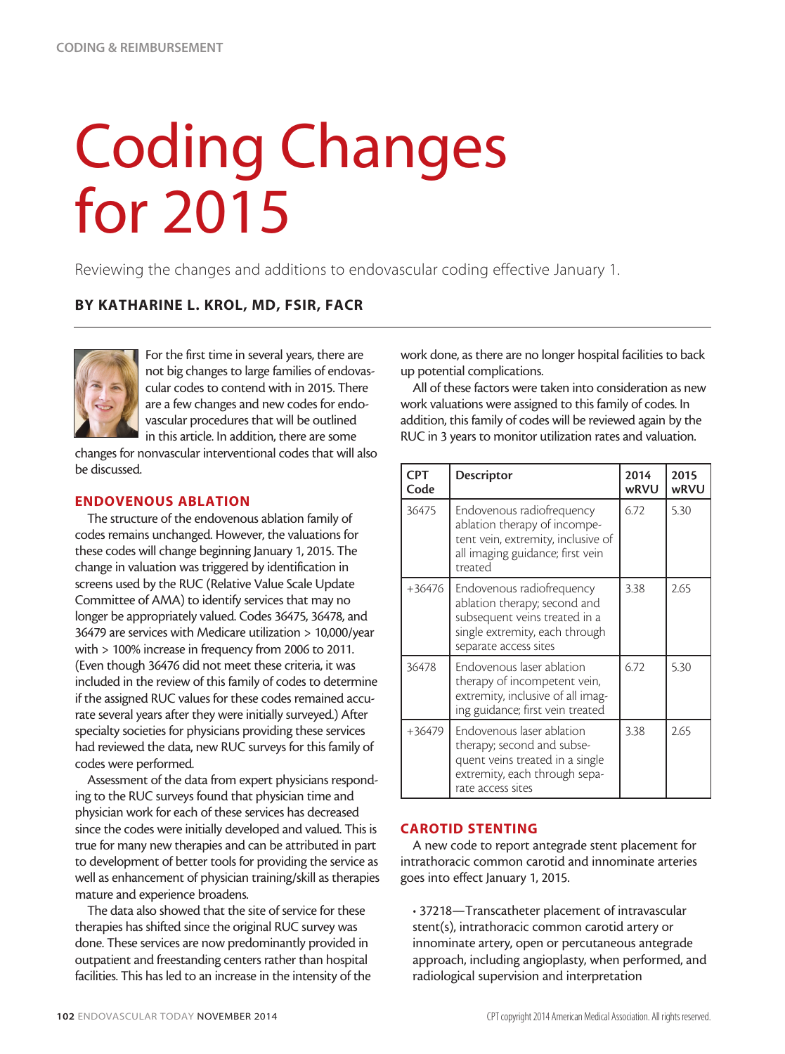# Coding Changes for 2015

Reviewing the changes and additions to endovascular coding effective January 1.

## BY KATHARINE L. KROL, MD, FSIR, FACR



For the first time in several years, there are not big changes to large families of endovascular codes to contend with in 2015. There are a few changes and new codes for endovascular procedures that will be outlined in this article. In addition, there are some

changes for nonvascular interventional codes that will also be discussed.

#### ENDOVENOUS ABLATION

The structure of the endovenous ablation family of codes remains unchanged. However, the valuations for these codes will change beginning January 1, 2015. The change in valuation was triggered by identification in screens used by the RUC (Relative Value Scale Update Committee of AMA) to identify services that may no longer be appropriately valued. Codes 36475, 36478, and 36479 are services with Medicare utilization > 10,000/year with > 100% increase in frequency from 2006 to 2011. (Even though 36476 did not meet these criteria, it was included in the review of this family of codes to determine if the assigned RUC values for these codes remained accurate several years after they were initially surveyed.) After specialty societies for physicians providing these services had reviewed the data, new RUC surveys for this family of codes were performed.

Assessment of the data from expert physicians responding to the RUC surveys found that physician time and physician work for each of these services has decreased since the codes were initially developed and valued. This is true for many new therapies and can be attributed in part to development of better tools for providing the service as well as enhancement of physician training/skill as therapies mature and experience broadens.

The data also showed that the site of service for these therapies has shifted since the original RUC survey was done. These services are now predominantly provided in outpatient and freestanding centers rather than hospital facilities. This has led to an increase in the intensity of the work done, as there are no longer hospital facilities to back up potential complications.

All of these factors were taken into consideration as new work valuations were assigned to this family of codes. In addition, this family of codes will be reviewed again by the RUC in 3 years to monitor utilization rates and valuation.

| <b>CPT</b><br>Code | <b>Descriptor</b>                                                                                                                                     | 2014<br>wRVU | 2015<br>wRVU |
|--------------------|-------------------------------------------------------------------------------------------------------------------------------------------------------|--------------|--------------|
| 36475              | Endovenous radiofrequency<br>ablation therapy of incompe-<br>tent vein, extremity, inclusive of<br>all imaging guidance; first vein<br>treated        | 6.72         | 5.30         |
| +36476             | Endovenous radiofrequency<br>ablation therapy; second and<br>subsequent veins treated in a<br>single extremity, each through<br>separate access sites | 3.38         | 2.65         |
| 36478              | Endovenous laser ablation<br>therapy of incompetent vein,<br>extremity, inclusive of all imag-<br>ing guidance; first vein treated                    | 6.72         | 5.30         |
| $+36479$           | Endovenous laser ablation<br>therapy; second and subse-<br>quent veins treated in a single<br>extremity, each through sepa-<br>rate access sites      | 3.38         | 2.65         |

#### CAROTID STENTING

A new code to report antegrade stent placement for intrathoracic common carotid and innominate arteries goes into effect January 1, 2015.

• 37218—Transcatheter placement of intravascular stent(s), intrathoracic common carotid artery or innominate artery, open or percutaneous antegrade approach, including angioplasty, when performed, and radiological supervision and interpretation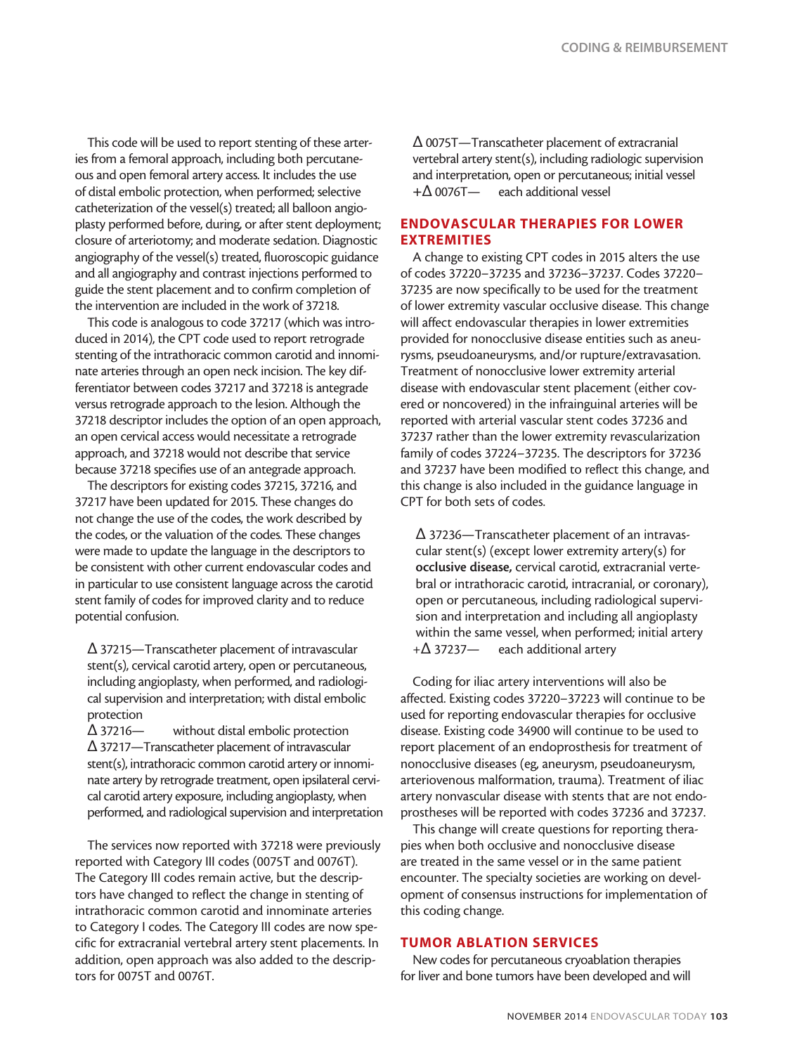This code will be used to report stenting of these arteries from a femoral approach, including both percutaneous and open femoral artery access. It includes the use of distal embolic protection, when performed; selective catheterization of the vessel(s) treated; all balloon angioplasty performed before, during, or after stent deployment; closure of arteriotomy; and moderate sedation. Diagnostic angiography of the vessel(s) treated, fluoroscopic guidance and all angiography and contrast injections performed to guide the stent placement and to confirm completion of the intervention are included in the work of 37218.

This code is analogous to code 37217 (which was introduced in 2014), the CPT code used to report retrograde stenting of the intrathoracic common carotid and innominate arteries through an open neck incision. The key differentiator between codes 37217 and 37218 is antegrade versus retrograde approach to the lesion. Although the 37218 descriptor includes the option of an open approach, an open cervical access would necessitate a retrograde approach, and 37218 would not describe that service because 37218 specifies use of an antegrade approach.

The descriptors for existing codes 37215, 37216, and 37217 have been updated for 2015. These changes do not change the use of the codes, the work described by the codes, or the valuation of the codes. These changes were made to update the language in the descriptors to be consistent with other current endovascular codes and in particular to use consistent language across the carotid stent family of codes for improved clarity and to reduce potential confusion.

Δ 37215—Transcatheter placement of intravascular stent(s), cervical carotid artery, open or percutaneous, including angioplasty, when performed, and radiological supervision and interpretation; with distal embolic protection

Δ 37216— without distal embolic protection Δ 37217—Transcatheter placement of intravascular stent(s), intrathoracic common carotid artery or innominate artery by retrograde treatment, open ipsilateral cervical carotid artery exposure, including angioplasty, when performed, and radiological supervision and interpretation

The services now reported with 37218 were previously reported with Category III codes (0075T and 0076T). The Category III codes remain active, but the descriptors have changed to reflect the change in stenting of intrathoracic common carotid and innominate arteries to Category I codes. The Category III codes are now specific for extracranial vertebral artery stent placements. In addition, open approach was also added to the descriptors for 0075T and 0076T.

Δ 0075T—Transcatheter placement of extracranial vertebral artery stent(s), including radiologic supervision and interpretation, open or percutaneous; initial vessel +Δ 0076T— each additional vessel

#### ENDOVASCULAR THERAPIES FOR LOWER EXTREMITIES

A change to existing CPT codes in 2015 alters the use of codes 37220–37235 and 37236–37237. Codes 37220– 37235 are now specifically to be used for the treatment of lower extremity vascular occlusive disease. This change will affect endovascular therapies in lower extremities provided for nonocclusive disease entities such as aneurysms, pseudoaneurysms, and/or rupture/extravasation. Treatment of nonocclusive lower extremity arterial disease with endovascular stent placement (either covered or noncovered) in the infrainguinal arteries will be reported with arterial vascular stent codes 37236 and 37237 rather than the lower extremity revascularization family of codes 37224–37235. The descriptors for 37236 and 37237 have been modified to reflect this change, and this change is also included in the guidance language in CPT for both sets of codes.

Δ 37236—Transcatheter placement of an intravascular stent(s) (except lower extremity artery(s) for occlusive disease, cervical carotid, extracranial vertebral or intrathoracic carotid, intracranial, or coronary), open or percutaneous, including radiological supervision and interpretation and including all angioplasty within the same vessel, when performed; initial artery +Δ 37237— each additional artery

Coding for iliac artery interventions will also be affected. Existing codes 37220–37223 will continue to be used for reporting endovascular therapies for occlusive disease. Existing code 34900 will continue to be used to report placement of an endoprosthesis for treatment of nonocclusive diseases (eg, aneurysm, pseudoaneurysm, arteriovenous malformation, trauma). Treatment of iliac artery nonvascular disease with stents that are not endoprostheses will be reported with codes 37236 and 37237.

This change will create questions for reporting therapies when both occlusive and nonocclusive disease are treated in the same vessel or in the same patient encounter. The specialty societies are working on development of consensus instructions for implementation of this coding change.

#### TUMOR ABLATION SERVICES

New codes for percutaneous cryoablation therapies for liver and bone tumors have been developed and will